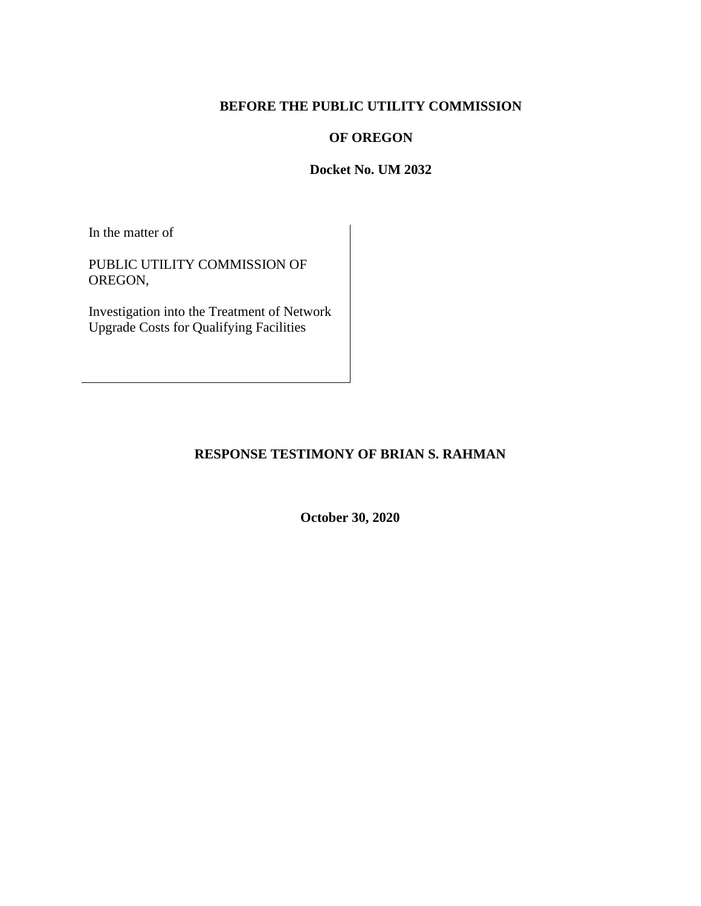## **BEFORE THE PUBLIC UTILITY COMMISSION**

## **OF OREGON**

## **Docket No. UM 2032**

In the matter of

PUBLIC UTILITY COMMISSION OF OREGON,

Investigation into the Treatment of Network Upgrade Costs for Qualifying Facilities

# **RESPONSE TESTIMONY OF BRIAN S. RAHMAN**

**October 30, 2020**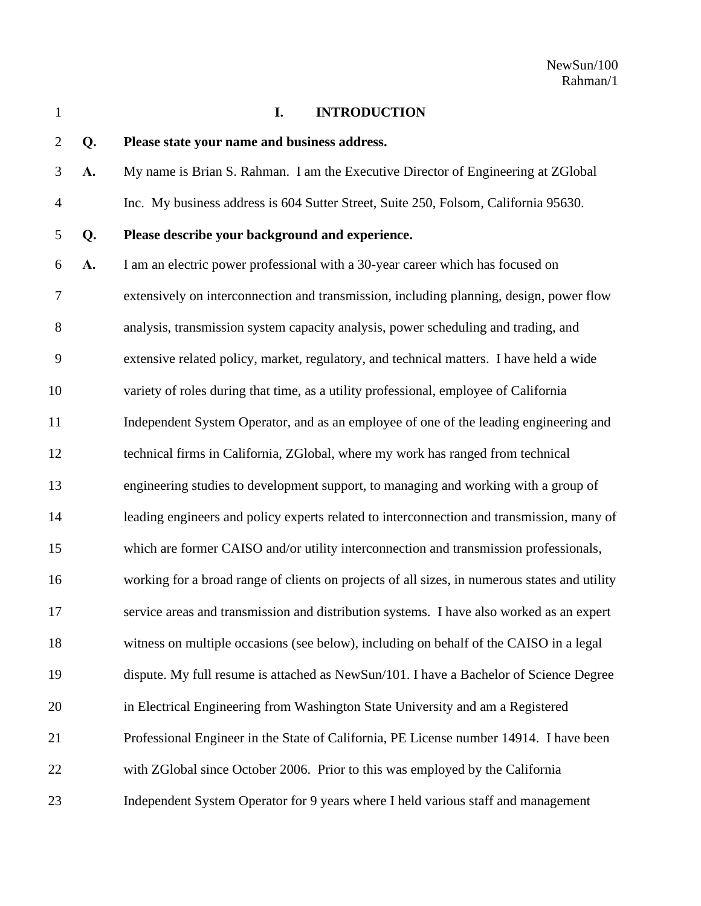## **I. INTRODUCTION**

# **Q. Please state your name and business address.**

- **A.** My name is Brian S. Rahman. I am the Executive Director of Engineering at ZGlobal Inc. My business address is 604 Sutter Street, Suite 250, Folsom, California 95630.
- 

# **Q. Please describe your background and experience.**

 **A.** I am an electric power professional with a 30-year career which has focused on extensively on interconnection and transmission, including planning, design, power flow analysis, transmission system capacity analysis, power scheduling and trading, and extensive related policy, market, regulatory, and technical matters. I have held a wide variety of roles during that time, as a utility professional, employee of California Independent System Operator, and as an employee of one of the leading engineering and technical firms in California, ZGlobal, where my work has ranged from technical engineering studies to development support, to managing and working with a group of leading engineers and policy experts related to interconnection and transmission, many of which are former CAISO and/or utility interconnection and transmission professionals, working for a broad range of clients on projects of all sizes, in numerous states and utility service areas and transmission and distribution systems. I have also worked as an expert witness on multiple occasions (see below), including on behalf of the CAISO in a legal dispute. My full resume is attached as NewSun/101. I have a Bachelor of Science Degree in Electrical Engineering from Washington State University and am a Registered Professional Engineer in the State of California, PE License number 14914. I have been with ZGlobal since October 2006. Prior to this was employed by the California Independent System Operator for 9 years where I held various staff and management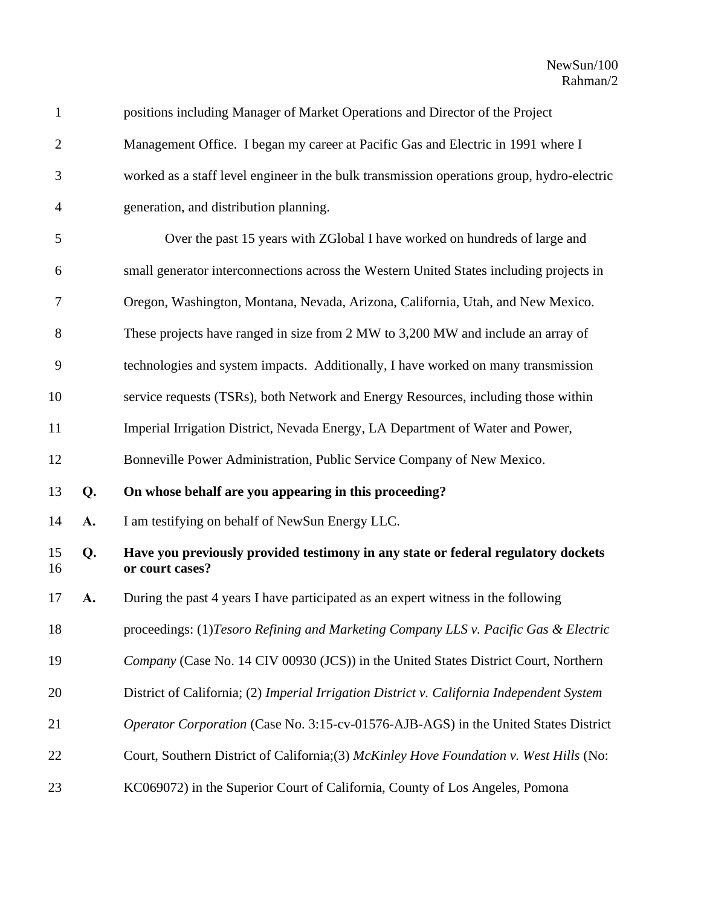| $\mathbf{1}$   |    | positions including Manager of Market Operations and Director of the Project                         |
|----------------|----|------------------------------------------------------------------------------------------------------|
| $\mathbf{2}$   |    | Management Office. I began my career at Pacific Gas and Electric in 1991 where I                     |
| 3              |    | worked as a staff level engineer in the bulk transmission operations group, hydro-electric           |
| $\overline{4}$ |    | generation, and distribution planning.                                                               |
| 5              |    | Over the past 15 years with ZGlobal I have worked on hundreds of large and                           |
| 6              |    | small generator interconnections across the Western United States including projects in              |
| 7              |    | Oregon, Washington, Montana, Nevada, Arizona, California, Utah, and New Mexico.                      |
| 8              |    | These projects have ranged in size from 2 MW to 3,200 MW and include an array of                     |
| 9              |    | technologies and system impacts. Additionally, I have worked on many transmission                    |
| 10             |    | service requests (TSRs), both Network and Energy Resources, including those within                   |
| 11             |    | Imperial Irrigation District, Nevada Energy, LA Department of Water and Power,                       |
| 12             |    | Bonneville Power Administration, Public Service Company of New Mexico.                               |
| 13             | Q. | On whose behalf are you appearing in this proceeding?                                                |
| 14             | A. | I am testifying on behalf of NewSun Energy LLC.                                                      |
| 15<br>16       | Q. | Have you previously provided testimony in any state or federal regulatory dockets<br>or court cases? |
| 17             | A. | During the past 4 years I have participated as an expert witness in the following                    |
| 18             |    | proceedings: (1)Tesoro Refining and Marketing Company LLS v. Pacific Gas & Electric                  |
| 19             |    | Company (Case No. 14 CIV 00930 (JCS)) in the United States District Court, Northern                  |
| 20             |    | District of California; (2) Imperial Irrigation District v. California Independent System            |
| 21             |    | Operator Corporation (Case No. 3:15-cv-01576-AJB-AGS) in the United States District                  |
| 22             |    | Court, Southern District of California; (3) McKinley Hove Foundation v. West Hills (No:              |
| 23             |    | KC069072) in the Superior Court of California, County of Los Angeles, Pomona                         |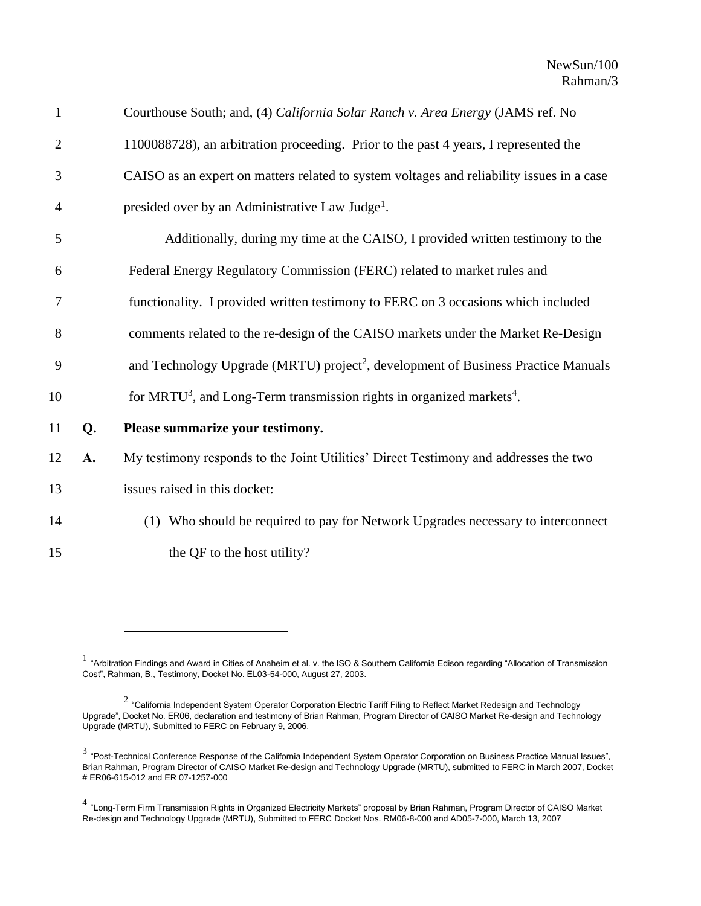| $\mathbf{1}$   |    | Courthouse South; and, (4) California Solar Ranch v. Area Energy (JAMS ref. No                |
|----------------|----|-----------------------------------------------------------------------------------------------|
| $\overline{2}$ |    | 1100088728), an arbitration proceeding. Prior to the past 4 years, I represented the          |
| 3              |    | CAISO as an expert on matters related to system voltages and reliability issues in a case     |
| 4              |    | presided over by an Administrative Law Judge <sup>1</sup> .                                   |
| 5              |    | Additionally, during my time at the CAISO, I provided written testimony to the                |
| 6              |    | Federal Energy Regulatory Commission (FERC) related to market rules and                       |
| 7              |    | functionality. I provided written testimony to FERC on 3 occasions which included             |
| 8              |    | comments related to the re-design of the CAISO markets under the Market Re-Design             |
| 9              |    | and Technology Upgrade (MRTU) project <sup>2</sup> , development of Business Practice Manuals |
| 10             |    | for MRTU <sup>3</sup> , and Long-Term transmission rights in organized markets <sup>4</sup> . |
| 11             | Q. | Please summarize your testimony.                                                              |
| 12             | A. | My testimony responds to the Joint Utilities' Direct Testimony and addresses the two          |
| 13             |    | issues raised in this docket:                                                                 |
| 14             |    | (1) Who should be required to pay for Network Upgrades necessary to interconnect              |
| 15             |    | the QF to the host utility?                                                                   |

 $^1$  "Arbitration Findings and Award in Cities of Anaheim et al. v. the ISO & Southern California Edison regarding "Allocation of Transmission Cost", Rahman, B., Testimony, Docket No. EL03-54-000, August 27, 2003.

 $^2$  "California Independent System Operator Corporation Electric Tariff Filing to Reflect Market Redesign and Technology Upgrade", Docket No. ER06, declaration and testimony of Brian Rahman, Program Director of CAISO Market Re-design and Technology Upgrade (MRTU), Submitted to FERC on February 9, 2006.

 $^3$  "Post-Technical Conference Response of the California Independent System Operator Corporation on Business Practice Manual Issues", Brian Rahman, Program Director of CAISO Market Re-design and Technology Upgrade (MRTU), submitted to FERC in March 2007, Docket # ER06-615-012 and ER 07-1257-000

<sup>&</sup>lt;sup>4</sup> "Long-Term Firm Transmission Rights in Organized Electricity Markets" proposal by Brian Rahman, Program Director of CAISO Market Re-design and Technology Upgrade (MRTU), Submitted to FERC Docket Nos. RM06-8-000 and AD05-7-000, March 13, 2007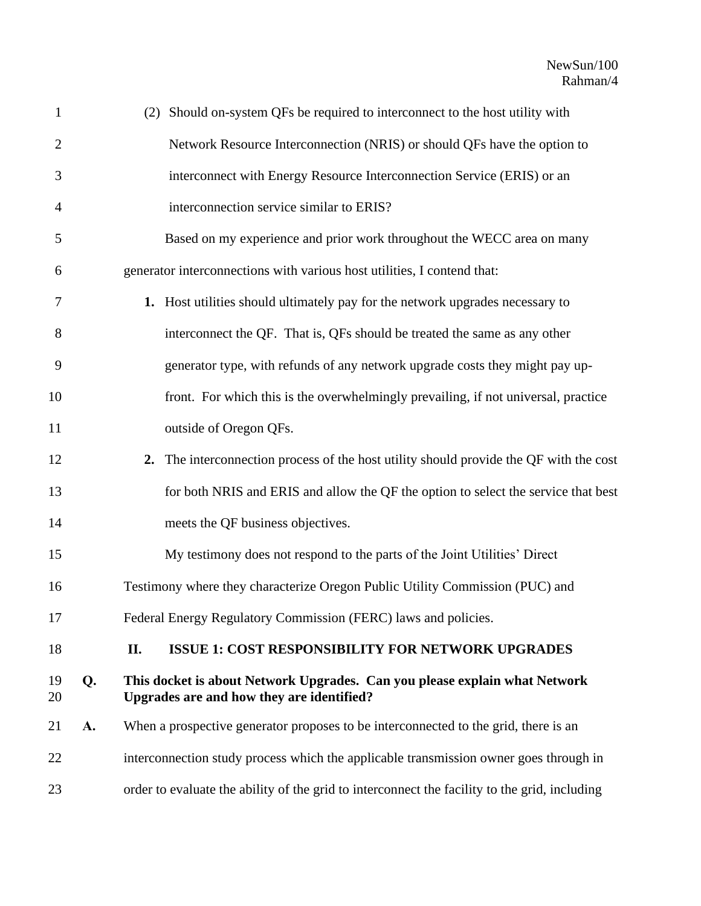| $\mathbf{1}$   |    | (2) Should on-system QFs be required to interconnect to the host utility with                                           |
|----------------|----|-------------------------------------------------------------------------------------------------------------------------|
| $\overline{2}$ |    | Network Resource Interconnection (NRIS) or should QFs have the option to                                                |
| 3              |    | interconnect with Energy Resource Interconnection Service (ERIS) or an                                                  |
| 4              |    | interconnection service similar to ERIS?                                                                                |
| 5              |    | Based on my experience and prior work throughout the WECC area on many                                                  |
| 6              |    | generator interconnections with various host utilities, I contend that:                                                 |
| 7              |    | 1. Host utilities should ultimately pay for the network upgrades necessary to                                           |
| 8              |    | interconnect the QF. That is, QFs should be treated the same as any other                                               |
| 9              |    | generator type, with refunds of any network upgrade costs they might pay up-                                            |
| 10             |    | front. For which this is the overwhelmingly prevailing, if not universal, practice                                      |
| 11             |    | outside of Oregon QFs.                                                                                                  |
| 12             |    | 2. The interconnection process of the host utility should provide the QF with the cost                                  |
| 13             |    | for both NRIS and ERIS and allow the QF the option to select the service that best                                      |
| 14             |    | meets the QF business objectives.                                                                                       |
| 15             |    | My testimony does not respond to the parts of the Joint Utilities' Direct                                               |
| 16             |    | Testimony where they characterize Oregon Public Utility Commission (PUC) and                                            |
| 17             |    | Federal Energy Regulatory Commission (FERC) laws and policies.                                                          |
| 18             |    | <b>ISSUE 1: COST RESPONSIBILITY FOR NETWORK UPGRADES</b><br>П.                                                          |
| 19<br>20       | Q. | This docket is about Network Upgrades. Can you please explain what Network<br>Upgrades are and how they are identified? |
| 21             | A. | When a prospective generator proposes to be interconnected to the grid, there is an                                     |
| 22             |    | interconnection study process which the applicable transmission owner goes through in                                   |
| 23             |    | order to evaluate the ability of the grid to interconnect the facility to the grid, including                           |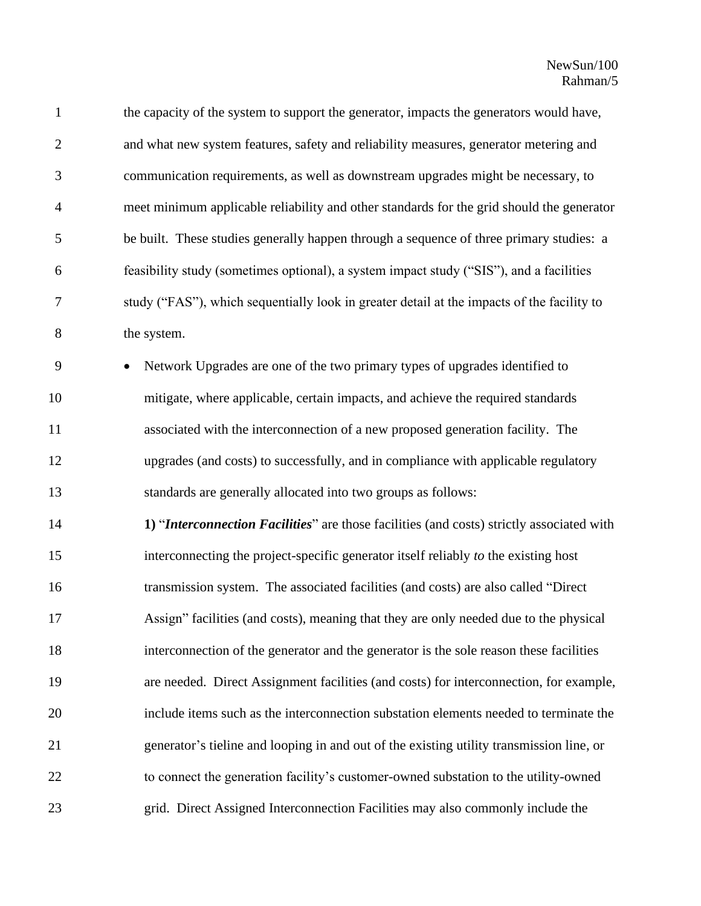| $\mathbf{1}$   | the capacity of the system to support the generator, impacts the generators would have,    |
|----------------|--------------------------------------------------------------------------------------------|
| $\overline{2}$ | and what new system features, safety and reliability measures, generator metering and      |
| 3              | communication requirements, as well as downstream upgrades might be necessary, to          |
| $\overline{4}$ | meet minimum applicable reliability and other standards for the grid should the generator  |
| 5              | be built. These studies generally happen through a sequence of three primary studies: a    |
| 6              | feasibility study (sometimes optional), a system impact study ("SIS"), and a facilities    |
| 7              | study ("FAS"), which sequentially look in greater detail at the impacts of the facility to |
| $8\,$          | the system.                                                                                |
| 9              | Network Upgrades are one of the two primary types of upgrades identified to                |
| 10             | mitigate, where applicable, certain impacts, and achieve the required standards            |
| 11             | associated with the interconnection of a new proposed generation facility. The             |
| 12             | upgrades (and costs) to successfully, and in compliance with applicable regulatory         |
| 13             | standards are generally allocated into two groups as follows:                              |
| 14             | 1) "Interconnection Facilities" are those facilities (and costs) strictly associated with  |
| 15             | interconnecting the project-specific generator itself reliably to the existing host        |
| 16             | transmission system. The associated facilities (and costs) are also called "Direct         |
| 17             | Assign" facilities (and costs), meaning that they are only needed due to the physical      |
| 18             | interconnection of the generator and the generator is the sole reason these facilities     |
| 19             | are needed. Direct Assignment facilities (and costs) for interconnection, for example,     |
| 20             | include items such as the interconnection substation elements needed to terminate the      |
| 21             | generator's tieline and looping in and out of the existing utility transmission line, or   |
| 22             | to connect the generation facility's customer-owned substation to the utility-owned        |
| 23             | grid. Direct Assigned Interconnection Facilities may also commonly include the             |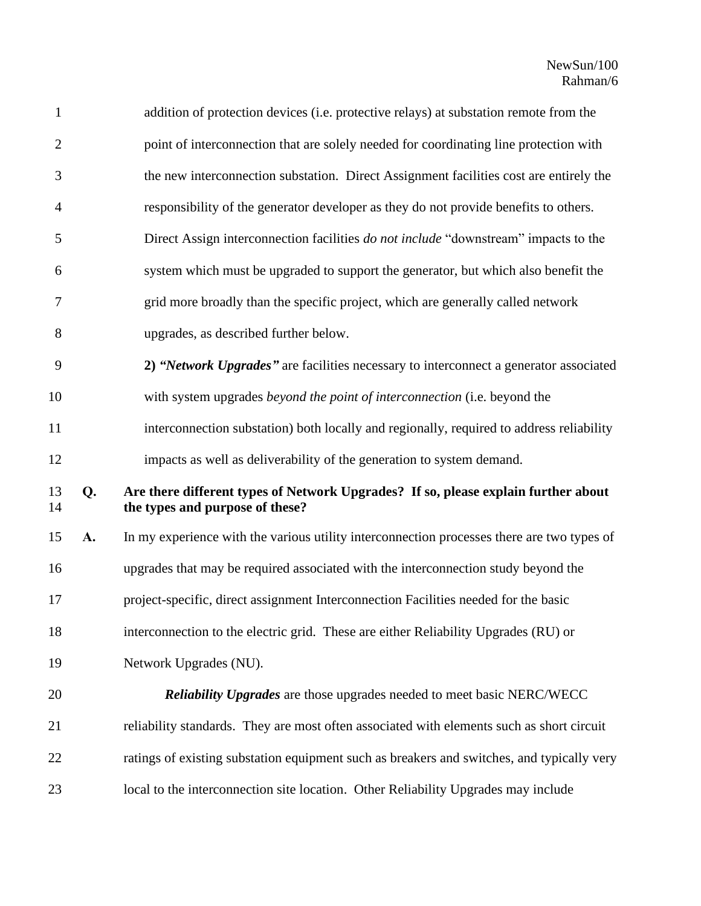| $\mathbf{1}$   |    | addition of protection devices (i.e. protective relays) at substation remote from the                                 |
|----------------|----|-----------------------------------------------------------------------------------------------------------------------|
| $\overline{2}$ |    | point of interconnection that are solely needed for coordinating line protection with                                 |
| 3              |    | the new interconnection substation. Direct Assignment facilities cost are entirely the                                |
| $\overline{4}$ |    | responsibility of the generator developer as they do not provide benefits to others.                                  |
| 5              |    | Direct Assign interconnection facilities do not include "downstream" impacts to the                                   |
| 6              |    | system which must be upgraded to support the generator, but which also benefit the                                    |
| $\tau$         |    | grid more broadly than the specific project, which are generally called network                                       |
| 8              |    | upgrades, as described further below.                                                                                 |
| 9              |    | 2) "Network Upgrades" are facilities necessary to interconnect a generator associated                                 |
| 10             |    | with system upgrades beyond the point of interconnection (i.e. beyond the                                             |
| 11             |    | interconnection substation) both locally and regionally, required to address reliability                              |
| 12             |    | impacts as well as deliverability of the generation to system demand.                                                 |
| 13<br>14       | Q. | Are there different types of Network Upgrades? If so, please explain further about<br>the types and purpose of these? |
| 15             | A. | In my experience with the various utility interconnection processes there are two types of                            |
| 16             |    | upgrades that may be required associated with the interconnection study beyond the                                    |
| 17             |    | project-specific, direct assignment Interconnection Facilities needed for the basic                                   |
| 18             |    | interconnection to the electric grid. These are either Reliability Upgrades (RU) or                                   |
| 19             |    | Network Upgrades (NU).                                                                                                |
| 20             |    | <b>Reliability Upgrades</b> are those upgrades needed to meet basic NERC/WECC                                         |
| 21             |    | reliability standards. They are most often associated with elements such as short circuit                             |
| 22             |    | ratings of existing substation equipment such as breakers and switches, and typically very                            |
| 23             |    | local to the interconnection site location. Other Reliability Upgrades may include                                    |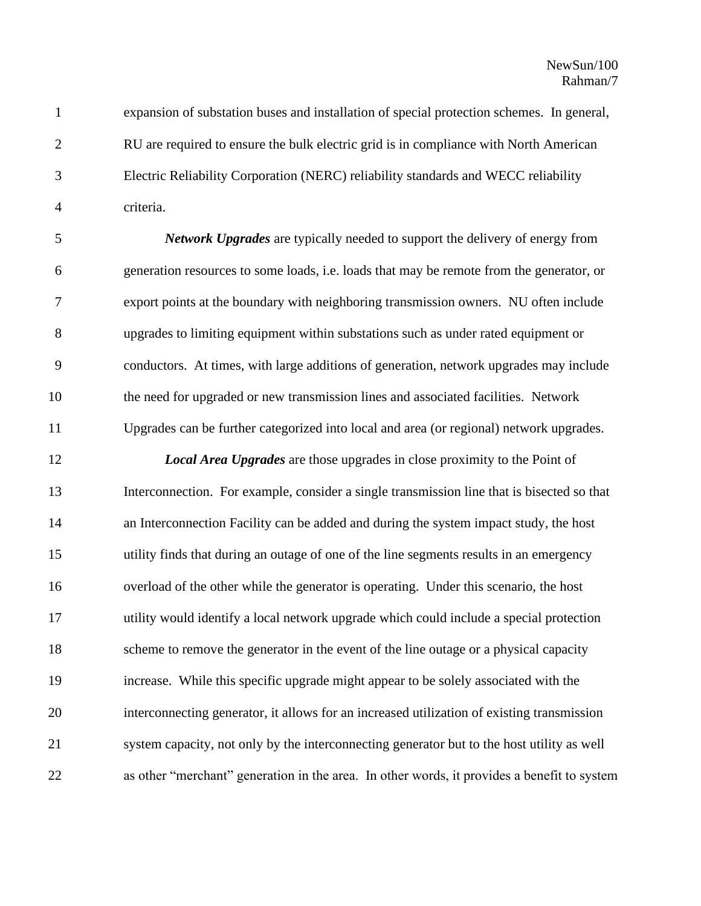expansion of substation buses and installation of special protection schemes. In general, RU are required to ensure the bulk electric grid is in compliance with North American Electric Reliability Corporation (NERC) reliability standards and WECC reliability criteria.

 *Network Upgrades* are typically needed to support the delivery of energy from generation resources to some loads, i.e. loads that may be remote from the generator, or export points at the boundary with neighboring transmission owners. NU often include upgrades to limiting equipment within substations such as under rated equipment or conductors. At times, with large additions of generation, network upgrades may include the need for upgraded or new transmission lines and associated facilities. Network Upgrades can be further categorized into local and area (or regional) network upgrades.

 *Local Area Upgrades* are those upgrades in close proximity to the Point of Interconnection. For example, consider a single transmission line that is bisected so that an Interconnection Facility can be added and during the system impact study, the host utility finds that during an outage of one of the line segments results in an emergency overload of the other while the generator is operating. Under this scenario, the host utility would identify a local network upgrade which could include a special protection scheme to remove the generator in the event of the line outage or a physical capacity increase. While this specific upgrade might appear to be solely associated with the interconnecting generator, it allows for an increased utilization of existing transmission system capacity, not only by the interconnecting generator but to the host utility as well as other "merchant" generation in the area. In other words, it provides a benefit to system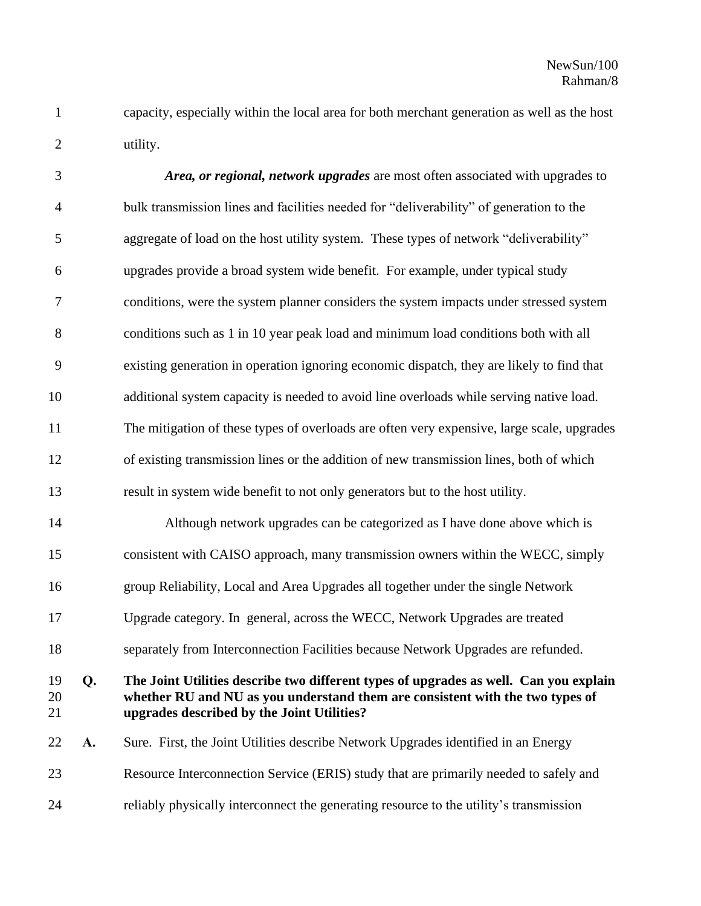capacity, especially within the local area for both merchant generation as well as the host utility.

| 3              |    | Area, or regional, network upgrades are most often associated with upgrades to                                                                                                                                       |
|----------------|----|----------------------------------------------------------------------------------------------------------------------------------------------------------------------------------------------------------------------|
| $\overline{4}$ |    | bulk transmission lines and facilities needed for "deliverability" of generation to the                                                                                                                              |
| 5              |    | aggregate of load on the host utility system. These types of network "deliverability"                                                                                                                                |
| 6              |    | upgrades provide a broad system wide benefit. For example, under typical study                                                                                                                                       |
| $\tau$         |    | conditions, were the system planner considers the system impacts under stressed system                                                                                                                               |
| $8\,$          |    | conditions such as 1 in 10 year peak load and minimum load conditions both with all                                                                                                                                  |
| 9              |    | existing generation in operation ignoring economic dispatch, they are likely to find that                                                                                                                            |
| 10             |    | additional system capacity is needed to avoid line overloads while serving native load.                                                                                                                              |
| 11             |    | The mitigation of these types of overloads are often very expensive, large scale, upgrades                                                                                                                           |
| 12             |    | of existing transmission lines or the addition of new transmission lines, both of which                                                                                                                              |
| 13             |    | result in system wide benefit to not only generators but to the host utility.                                                                                                                                        |
| 14             |    | Although network upgrades can be categorized as I have done above which is                                                                                                                                           |
| 15             |    | consistent with CAISO approach, many transmission owners within the WECC, simply                                                                                                                                     |
| 16             |    | group Reliability, Local and Area Upgrades all together under the single Network                                                                                                                                     |
| 17             |    | Upgrade category. In general, across the WECC, Network Upgrades are treated                                                                                                                                          |
| 18             |    | separately from Interconnection Facilities because Network Upgrades are refunded.                                                                                                                                    |
| 19<br>20<br>21 | Q. | The Joint Utilities describe two different types of upgrades as well. Can you explain<br>whether RU and NU as you understand them are consistent with the two types of<br>upgrades described by the Joint Utilities? |
| 22             | A. | Sure. First, the Joint Utilities describe Network Upgrades identified in an Energy                                                                                                                                   |
| 23             |    | Resource Interconnection Service (ERIS) study that are primarily needed to safely and                                                                                                                                |
| 24             |    | reliably physically interconnect the generating resource to the utility's transmission                                                                                                                               |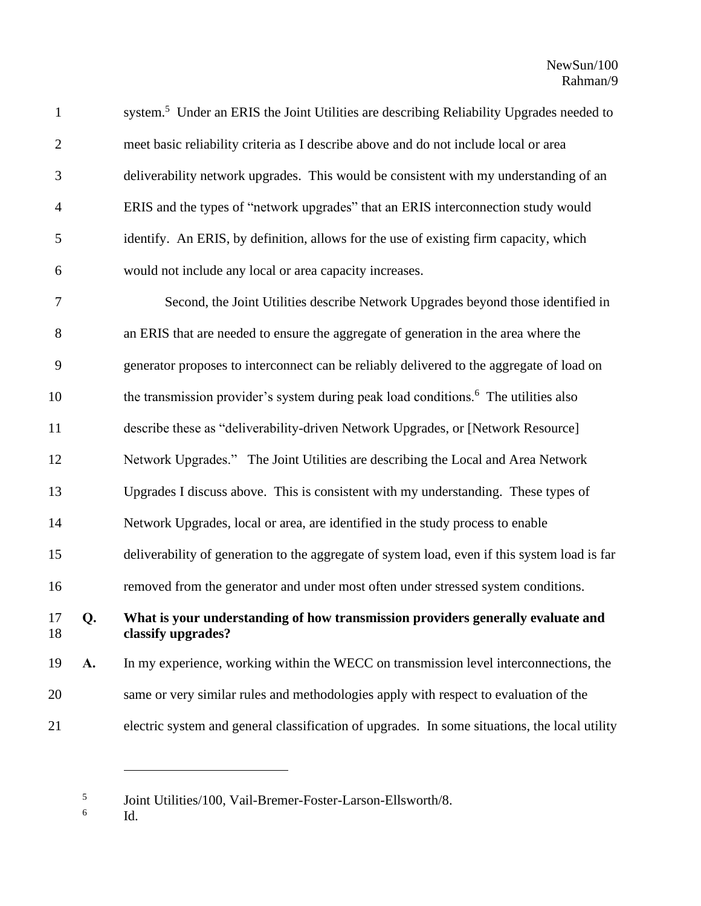1 system.<sup>5</sup> Under an ERIS the Joint Utilities are describing Reliability Upgrades needed to meet basic reliability criteria as I describe above and do not include local or area deliverability network upgrades. This would be consistent with my understanding of an ERIS and the types of "network upgrades" that an ERIS interconnection study would identify. An ERIS, by definition, allows for the use of existing firm capacity, which would not include any local or area capacity increases.

 Second, the Joint Utilities describe Network Upgrades beyond those identified in an ERIS that are needed to ensure the aggregate of generation in the area where the generator proposes to interconnect can be reliably delivered to the aggregate of load on 10 the transmission provider's system during peak load conditions.<sup>6</sup> The utilities also describe these as "deliverability-driven Network Upgrades, or [Network Resource] Network Upgrades." The Joint Utilities are describing the Local and Area Network Upgrades I discuss above. This is consistent with my understanding. These types of Network Upgrades, local or area, are identified in the study process to enable deliverability of generation to the aggregate of system load, even if this system load is far removed from the generator and under most often under stressed system conditions. **Q. What is your understanding of how transmission providers generally evaluate and classify upgrades? A.** In my experience, working within the WECC on transmission level interconnections, the same or very similar rules and methodologies apply with respect to evaluation of the electric system and general classification of upgrades. In some situations, the local utility

 Joint Utilities/100, Vail-Bremer-Foster-Larson-Ellsworth/8.

 Id.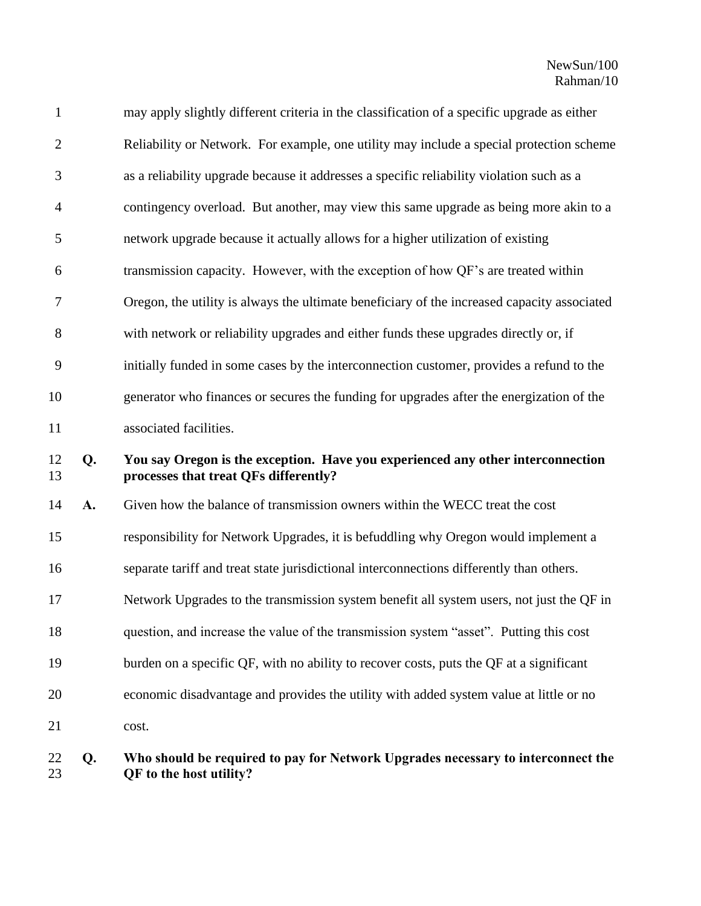| 22             | Ω. | Who should be required to pay for Network Upgrades necessary to interconnect the                                         |
|----------------|----|--------------------------------------------------------------------------------------------------------------------------|
| 21             |    | cost.                                                                                                                    |
| 20             |    | economic disadvantage and provides the utility with added system value at little or no                                   |
| 19             |    | burden on a specific QF, with no ability to recover costs, puts the QF at a significant                                  |
| 18             |    | question, and increase the value of the transmission system "asset". Putting this cost                                   |
| 17             |    | Network Upgrades to the transmission system benefit all system users, not just the QF in                                 |
| 16             |    | separate tariff and treat state jurisdictional interconnections differently than others.                                 |
| 15             |    | responsibility for Network Upgrades, it is befuddling why Oregon would implement a                                       |
| 14             | A. | Given how the balance of transmission owners within the WECC treat the cost                                              |
| 12<br>13       | Q. | You say Oregon is the exception. Have you experienced any other interconnection<br>processes that treat QFs differently? |
| 11             |    | associated facilities.                                                                                                   |
| 10             |    | generator who finances or secures the funding for upgrades after the energization of the                                 |
| 9              |    | initially funded in some cases by the interconnection customer, provides a refund to the                                 |
| $8\,$          |    | with network or reliability upgrades and either funds these upgrades directly or, if                                     |
| 7              |    | Oregon, the utility is always the ultimate beneficiary of the increased capacity associated                              |
| 6              |    | transmission capacity. However, with the exception of how QF's are treated within                                        |
| 5              |    | network upgrade because it actually allows for a higher utilization of existing                                          |
| $\overline{4}$ |    | contingency overload. But another, may view this same upgrade as being more akin to a                                    |
| 3              |    | as a reliability upgrade because it addresses a specific reliability violation such as a                                 |
| $\overline{2}$ |    | Reliability or Network. For example, one utility may include a special protection scheme                                 |
| $\mathbf{1}$   |    | may apply slightly different criteria in the classification of a specific upgrade as either                              |

## **Q. Who should be required to pay for Network Upgrades necessary to interconnect the QF to the host utility?**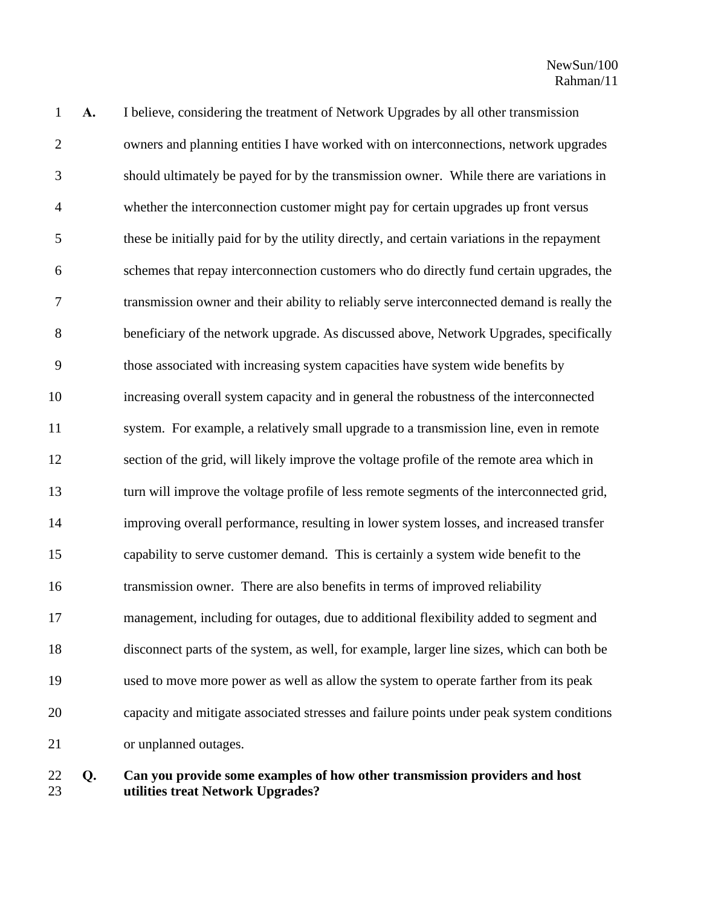| $\mathbf{1}$   | A. | I believe, considering the treatment of Network Upgrades by all other transmission           |
|----------------|----|----------------------------------------------------------------------------------------------|
| $\overline{2}$ |    | owners and planning entities I have worked with on interconnections, network upgrades        |
| 3              |    | should ultimately be payed for by the transmission owner. While there are variations in      |
| $\overline{4}$ |    | whether the interconnection customer might pay for certain upgrades up front versus          |
| 5              |    | these be initially paid for by the utility directly, and certain variations in the repayment |
| 6              |    | schemes that repay interconnection customers who do directly fund certain upgrades, the      |
| $\tau$         |    | transmission owner and their ability to reliably serve interconnected demand is really the   |
| $8\,$          |    | beneficiary of the network upgrade. As discussed above, Network Upgrades, specifically       |
| 9              |    | those associated with increasing system capacities have system wide benefits by              |
| 10             |    | increasing overall system capacity and in general the robustness of the interconnected       |
| 11             |    | system. For example, a relatively small upgrade to a transmission line, even in remote       |
| 12             |    | section of the grid, will likely improve the voltage profile of the remote area which in     |
| 13             |    | turn will improve the voltage profile of less remote segments of the interconnected grid,    |
| 14             |    | improving overall performance, resulting in lower system losses, and increased transfer      |
| 15             |    | capability to serve customer demand. This is certainly a system wide benefit to the          |
| 16             |    | transmission owner. There are also benefits in terms of improved reliability                 |
| 17             |    | management, including for outages, due to additional flexibility added to segment and        |
| 18             |    | disconnect parts of the system, as well, for example, larger line sizes, which can both be   |
| 19             |    | used to move more power as well as allow the system to operate farther from its peak         |
| 20             |    | capacity and mitigate associated stresses and failure points under peak system conditions    |
| 21             |    | or unplanned outages.                                                                        |
|                |    |                                                                                              |

 **Q. Can you provide some examples of how other transmission providers and host utilities treat Network Upgrades?**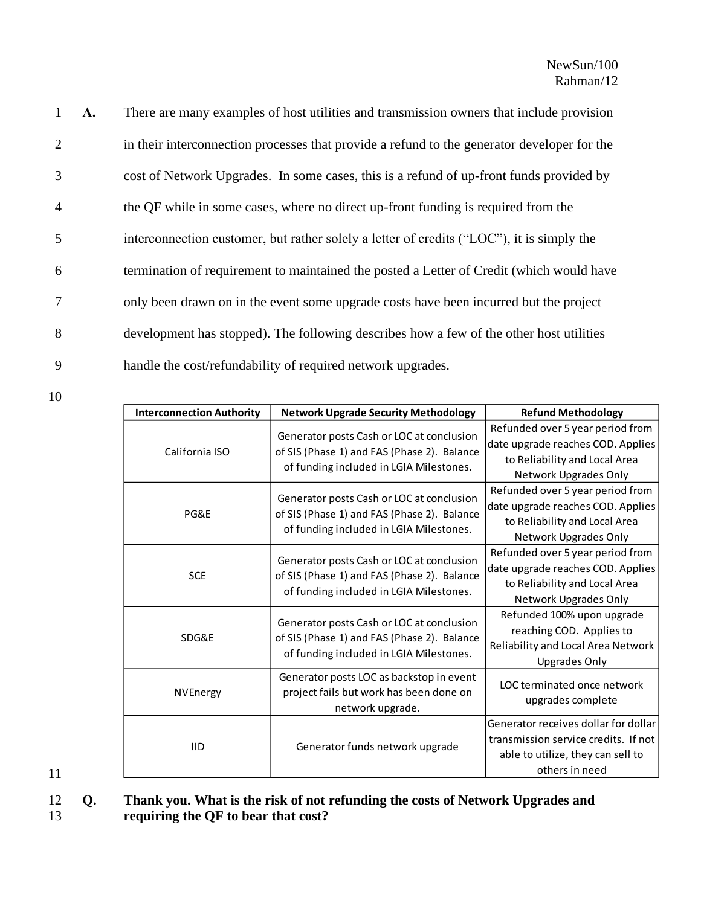| $\mathbf{1}$   | <b>A.</b> | There are many examples of host utilities and transmission owners that include provision    |
|----------------|-----------|---------------------------------------------------------------------------------------------|
| 2              |           | in their interconnection processes that provide a refund to the generator developer for the |
| 3              |           | cost of Network Upgrades. In some cases, this is a refund of up-front funds provided by     |
| $\overline{4}$ |           | the QF while in some cases, where no direct up-front funding is required from the           |
| 5              |           | interconnection customer, but rather solely a letter of credits ("LOC"), it is simply the   |
| 6              |           | termination of requirement to maintained the posted a Letter of Credit (which would have    |
| $\overline{7}$ |           | only been drawn on in the event some upgrade costs have been incurred but the project       |
| 8              |           | development has stopped). The following describes how a few of the other host utilities     |
| 9              |           | handle the cost/refundability of required network upgrades.                                 |

10

| <b>Interconnection Authority</b> | <b>Network Upgrade Security Methodology</b>                                                                                         | <b>Refund Methodology</b>                                                                                                           |
|----------------------------------|-------------------------------------------------------------------------------------------------------------------------------------|-------------------------------------------------------------------------------------------------------------------------------------|
| California ISO                   | Generator posts Cash or LOC at conclusion<br>of SIS (Phase 1) and FAS (Phase 2). Balance<br>of funding included in LGIA Milestones. | Refunded over 5 year period from<br>date upgrade reaches COD. Applies<br>to Reliability and Local Area<br>Network Upgrades Only     |
| PG&E                             | Generator posts Cash or LOC at conclusion<br>of SIS (Phase 1) and FAS (Phase 2). Balance<br>of funding included in LGIA Milestones. | Refunded over 5 year period from<br>date upgrade reaches COD. Applies<br>to Reliability and Local Area<br>Network Upgrades Only     |
| <b>SCE</b>                       | Generator posts Cash or LOC at conclusion<br>of SIS (Phase 1) and FAS (Phase 2). Balance<br>of funding included in LGIA Milestones. | Refunded over 5 year period from<br>date upgrade reaches COD. Applies<br>to Reliability and Local Area<br>Network Upgrades Only     |
| SDG&E                            | Generator posts Cash or LOC at conclusion<br>of SIS (Phase 1) and FAS (Phase 2). Balance<br>of funding included in LGIA Milestones. | Refunded 100% upon upgrade<br>reaching COD. Applies to<br>Reliability and Local Area Network<br><b>Upgrades Only</b>                |
| NVEnergy                         | Generator posts LOC as backstop in event<br>project fails but work has been done on<br>network upgrade.                             | LOC terminated once network<br>upgrades complete                                                                                    |
| <b>IID</b>                       | Generator funds network upgrade                                                                                                     | Generator receives dollar for dollar<br>transmission service credits. If not<br>able to utilize, they can sell to<br>others in need |

11

12 **Q. Thank you. What is the risk of not refunding the costs of Network Upgrades and**  13 **requiring the QF to bear that cost?**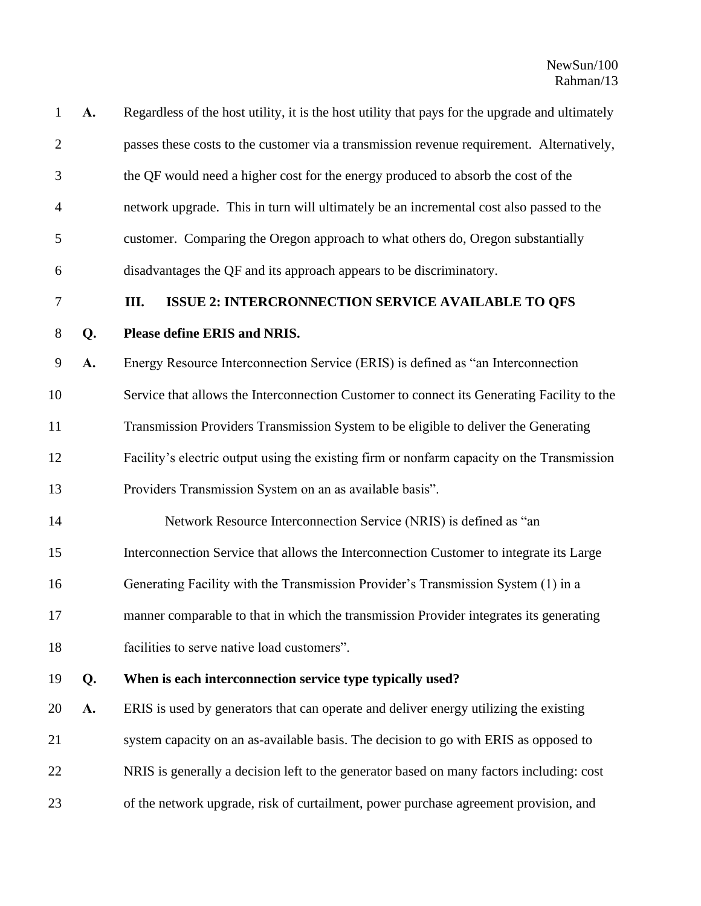| $\mathbf{1}$     | A. | Regardless of the host utility, it is the host utility that pays for the upgrade and ultimately |
|------------------|----|-------------------------------------------------------------------------------------------------|
| $\overline{2}$   |    | passes these costs to the customer via a transmission revenue requirement. Alternatively,       |
| 3                |    | the QF would need a higher cost for the energy produced to absorb the cost of the               |
| $\overline{4}$   |    | network upgrade. This in turn will ultimately be an incremental cost also passed to the         |
| 5                |    | customer. Comparing the Oregon approach to what others do, Oregon substantially                 |
| 6                |    | disadvantages the QF and its approach appears to be discriminatory.                             |
| $\boldsymbol{7}$ |    | Ш.<br><b>ISSUE 2: INTERCRONNECTION SERVICE AVAILABLE TO QFS</b>                                 |
| $8\,$            | Q. | Please define ERIS and NRIS.                                                                    |
| 9                | A. | Energy Resource Interconnection Service (ERIS) is defined as "an Interconnection                |
| 10               |    | Service that allows the Interconnection Customer to connect its Generating Facility to the      |
| 11               |    | Transmission Providers Transmission System to be eligible to deliver the Generating             |
| 12               |    | Facility's electric output using the existing firm or nonfarm capacity on the Transmission      |
| 13               |    | Providers Transmission System on an as available basis".                                        |
| 14               |    | Network Resource Interconnection Service (NRIS) is defined as "an                               |
| 15               |    | Interconnection Service that allows the Interconnection Customer to integrate its Large         |
| 16               |    | Generating Facility with the Transmission Provider's Transmission System (1) in a               |
| 17               |    | manner comparable to that in which the transmission Provider integrates its generating          |
| 18               |    | facilities to serve native load customers".                                                     |
| 19               | Q. | When is each interconnection service type typically used?                                       |
| 20               | A. | ERIS is used by generators that can operate and deliver energy utilizing the existing           |
| 21               |    | system capacity on an as-available basis. The decision to go with ERIS as opposed to            |
| 22               |    | NRIS is generally a decision left to the generator based on many factors including: cost        |
| 23               |    | of the network upgrade, risk of curtailment, power purchase agreement provision, and            |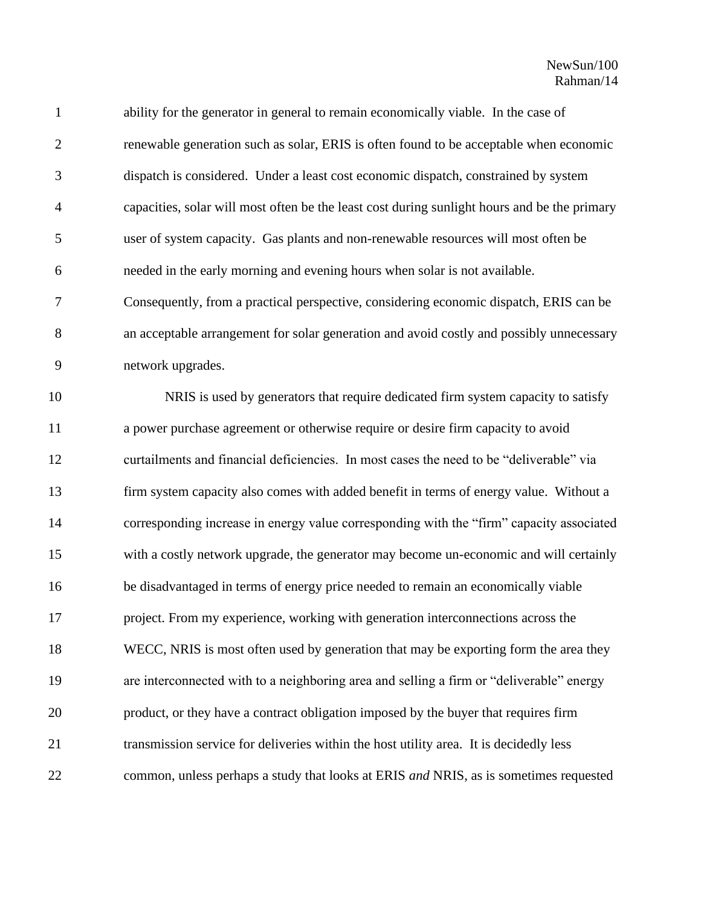| $\mathbf{1}$   | ability for the generator in general to remain economically viable. In the case of           |
|----------------|----------------------------------------------------------------------------------------------|
| $\overline{2}$ | renewable generation such as solar, ERIS is often found to be acceptable when economic       |
| 3              | dispatch is considered. Under a least cost economic dispatch, constrained by system          |
| $\overline{4}$ | capacities, solar will most often be the least cost during sunlight hours and be the primary |
| 5              | user of system capacity. Gas plants and non-renewable resources will most often be           |
| 6              | needed in the early morning and evening hours when solar is not available.                   |
| $\tau$         | Consequently, from a practical perspective, considering economic dispatch, ERIS can be       |
| 8              | an acceptable arrangement for solar generation and avoid costly and possibly unnecessary     |
| 9              | network upgrades.                                                                            |
| 10             | NRIS is used by generators that require dedicated firm system capacity to satisfy            |
| 11             | a power purchase agreement or otherwise require or desire firm capacity to avoid             |
| 12             | curtailments and financial deficiencies. In most cases the need to be "deliverable" via      |
| 13             | firm system capacity also comes with added benefit in terms of energy value. Without a       |
| 14             | corresponding increase in energy value corresponding with the "firm" capacity associated     |
| 15             | with a costly network upgrade, the generator may become un-economic and will certainly       |
| 16             | be disadvantaged in terms of energy price needed to remain an economically viable            |
| 17             | project. From my experience, working with generation interconnections across the             |
| 18             | WECC, NRIS is most often used by generation that may be exporting form the area they         |
| 19             | are interconnected with to a neighboring area and selling a firm or "deliverable" energy     |
| 20             | product, or they have a contract obligation imposed by the buyer that requires firm          |
| 21             | transmission service for deliveries within the host utility area. It is decidedly less       |
| 22             | common, unless perhaps a study that looks at ERIS and NRIS, as is sometimes requested        |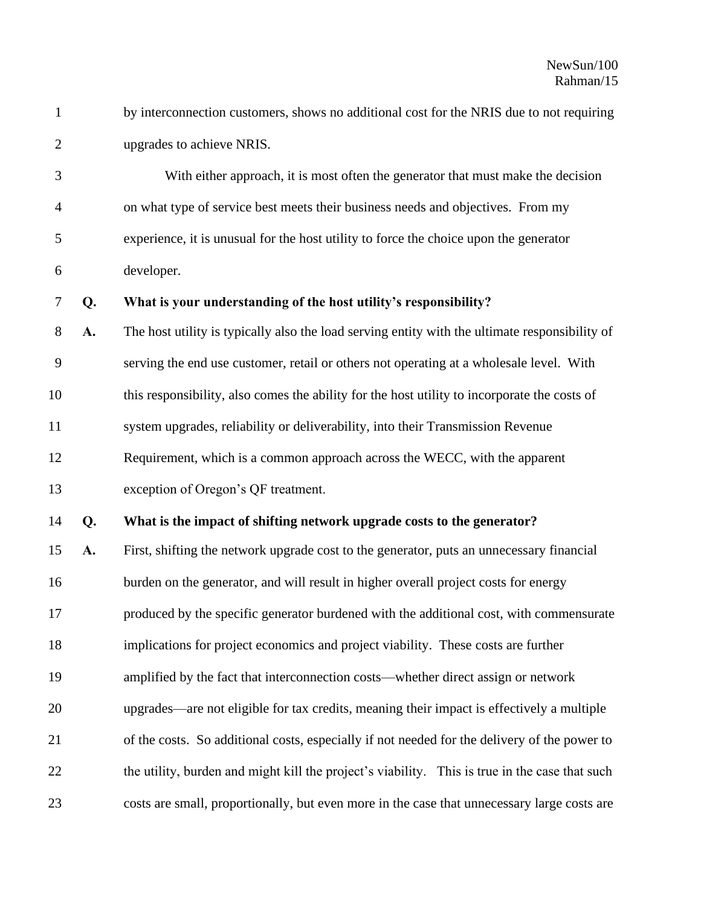1 by interconnection customers, shows no additional cost for the NRIS due to not requiring upgrades to achieve NRIS.

 With either approach, it is most often the generator that must make the decision on what type of service best meets their business needs and objectives. From my experience, it is unusual for the host utility to force the choice upon the generator developer.

### **Q. What is your understanding of the host utility's responsibility?**

 **A.** The host utility is typically also the load serving entity with the ultimate responsibility of serving the end use customer, retail or others not operating at a wholesale level. With this responsibility, also comes the ability for the host utility to incorporate the costs of system upgrades, reliability or deliverability, into their Transmission Revenue Requirement, which is a common approach across the WECC, with the apparent exception of Oregon's QF treatment.

#### **Q. What is the impact of shifting network upgrade costs to the generator?**

 **A.** First, shifting the network upgrade cost to the generator, puts an unnecessary financial 16 burden on the generator, and will result in higher overall project costs for energy produced by the specific generator burdened with the additional cost, with commensurate implications for project economics and project viability. These costs are further amplified by the fact that interconnection costs—whether direct assign or network upgrades—are not eligible for tax credits, meaning their impact is effectively a multiple of the costs. So additional costs, especially if not needed for the delivery of the power to the utility, burden and might kill the project's viability. This is true in the case that such costs are small, proportionally, but even more in the case that unnecessary large costs are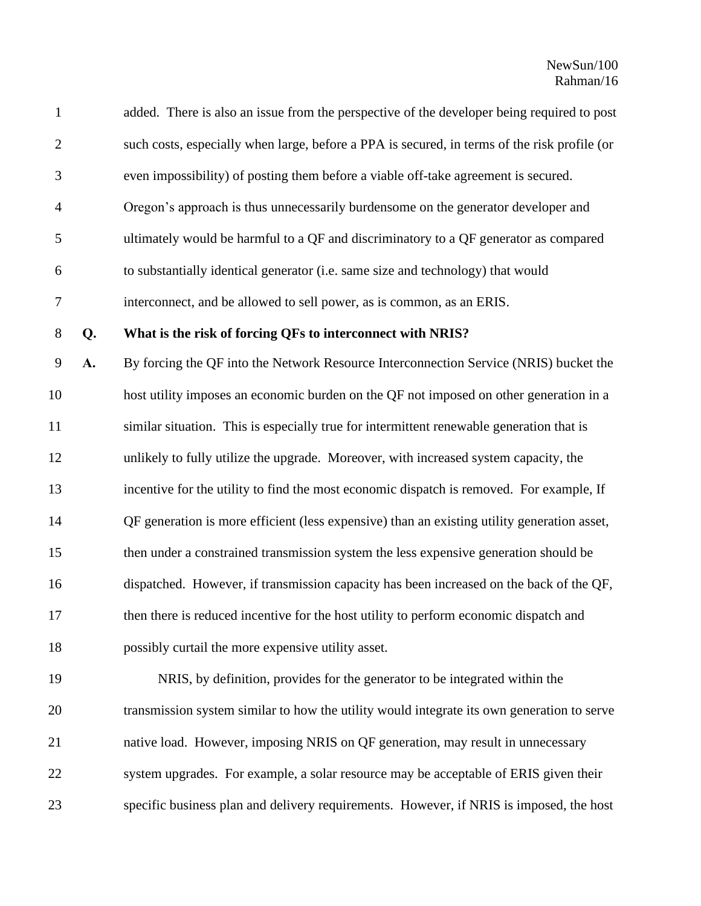| $\mathbf{1}$   |    | added. There is also an issue from the perspective of the developer being required to post   |
|----------------|----|----------------------------------------------------------------------------------------------|
| $\overline{2}$ |    | such costs, especially when large, before a PPA is secured, in terms of the risk profile (or |
| 3              |    | even impossibility) of posting them before a viable off-take agreement is secured.           |
| $\overline{4}$ |    | Oregon's approach is thus unnecessarily burdensome on the generator developer and            |
| 5              |    | ultimately would be harmful to a QF and discriminatory to a QF generator as compared         |
| 6              |    | to substantially identical generator (i.e. same size and technology) that would              |
| $\tau$         |    | interconnect, and be allowed to sell power, as is common, as an ERIS.                        |
| $8\phantom{1}$ | Q. | What is the risk of forcing QFs to interconnect with NRIS?                                   |
| 9              | A. | By forcing the QF into the Network Resource Interconnection Service (NRIS) bucket the        |
| 10             |    | host utility imposes an economic burden on the QF not imposed on other generation in a       |
| 11             |    | similar situation. This is especially true for intermittent renewable generation that is     |
| 12             |    | unlikely to fully utilize the upgrade. Moreover, with increased system capacity, the         |
| 13             |    | incentive for the utility to find the most economic dispatch is removed. For example, If     |
| 14             |    | QF generation is more efficient (less expensive) than an existing utility generation asset,  |
| 15             |    | then under a constrained transmission system the less expensive generation should be         |
| 16             |    | dispatched. However, if transmission capacity has been increased on the back of the QF,      |
| 17             |    | then there is reduced incentive for the host utility to perform economic dispatch and        |
| 18             |    | possibly curtail the more expensive utility asset.                                           |
| 19             |    | NRIS, by definition, provides for the generator to be integrated within the                  |
| 20             |    | transmission system similar to how the utility would integrate its own generation to serve   |
| 21             |    | native load. However, imposing NRIS on QF generation, may result in unnecessary              |
| 22             |    | system upgrades. For example, a solar resource may be acceptable of ERIS given their         |
| 23             |    | specific business plan and delivery requirements. However, if NRIS is imposed, the host      |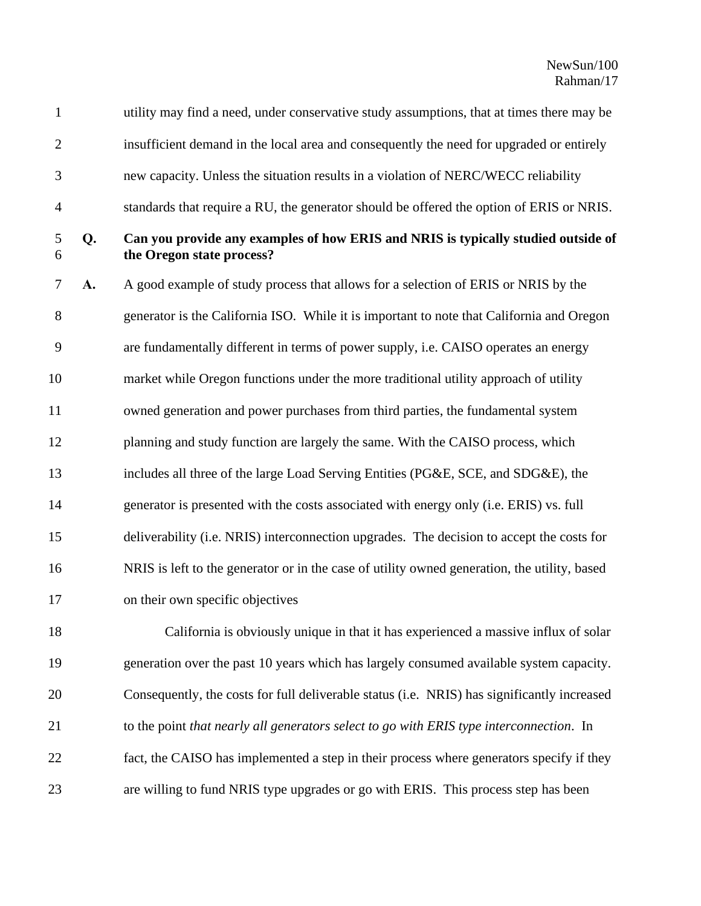| $\mathbf{1}$   |    | utility may find a need, under conservative study assumptions, that at times there may be                      |
|----------------|----|----------------------------------------------------------------------------------------------------------------|
| $\overline{2}$ |    | insufficient demand in the local area and consequently the need for upgraded or entirely                       |
| 3              |    | new capacity. Unless the situation results in a violation of NERC/WECC reliability                             |
| 4              |    | standards that require a RU, the generator should be offered the option of ERIS or NRIS.                       |
| 5<br>6         | Q. | Can you provide any examples of how ERIS and NRIS is typically studied outside of<br>the Oregon state process? |
| 7              | A. | A good example of study process that allows for a selection of ERIS or NRIS by the                             |
| 8              |    | generator is the California ISO. While it is important to note that California and Oregon                      |
| 9              |    | are fundamentally different in terms of power supply, i.e. CAISO operates an energy                            |
| 10             |    | market while Oregon functions under the more traditional utility approach of utility                           |
| 11             |    | owned generation and power purchases from third parties, the fundamental system                                |
| 12             |    | planning and study function are largely the same. With the CAISO process, which                                |
| 13             |    | includes all three of the large Load Serving Entities (PG&E, SCE, and SDG&E), the                              |
| 14             |    | generator is presented with the costs associated with energy only (i.e. ERIS) vs. full                         |
| 15             |    | deliverability (i.e. NRIS) interconnection upgrades. The decision to accept the costs for                      |
| 16             |    | NRIS is left to the generator or in the case of utility owned generation, the utility, based                   |
| 17             |    | on their own specific objectives                                                                               |
| 18             |    | California is obviously unique in that it has experienced a massive influx of solar                            |
| 19             |    | generation over the past 10 years which has largely consumed available system capacity.                        |
| 20             |    | Consequently, the costs for full deliverable status (i.e. NRIS) has significantly increased                    |
| 21             |    | to the point that nearly all generators select to go with ERIS type interconnection. In                        |
| 22             |    | fact, the CAISO has implemented a step in their process where generators specify if they                       |
| 23             |    | are willing to fund NRIS type upgrades or go with ERIS. This process step has been                             |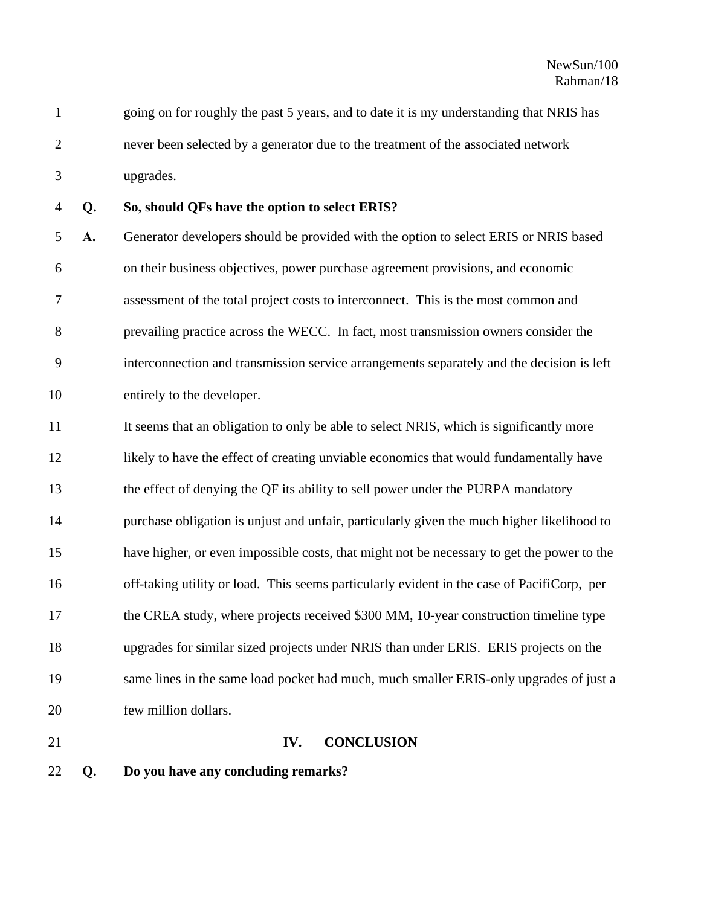going on for roughly the past 5 years, and to date it is my understanding that NRIS has never been selected by a generator due to the treatment of the associated network upgrades.

## **Q. So, should QFs have the option to select ERIS?**

 **A.** Generator developers should be provided with the option to select ERIS or NRIS based on their business objectives, power purchase agreement provisions, and economic assessment of the total project costs to interconnect. This is the most common and prevailing practice across the WECC. In fact, most transmission owners consider the interconnection and transmission service arrangements separately and the decision is left entirely to the developer.

11 It seems that an obligation to only be able to select NRIS, which is significantly more likely to have the effect of creating unviable economics that would fundamentally have the effect of denying the QF its ability to sell power under the PURPA mandatory purchase obligation is unjust and unfair, particularly given the much higher likelihood to have higher, or even impossible costs, that might not be necessary to get the power to the off-taking utility or load. This seems particularly evident in the case of PacifiCorp, per 17 the CREA study, where projects received \$300 MM, 10-year construction timeline type upgrades for similar sized projects under NRIS than under ERIS. ERIS projects on the same lines in the same load pocket had much, much smaller ERIS-only upgrades of just a few million dollars.

### **IV. CONCLUSION**

**Q. Do you have any concluding remarks?**